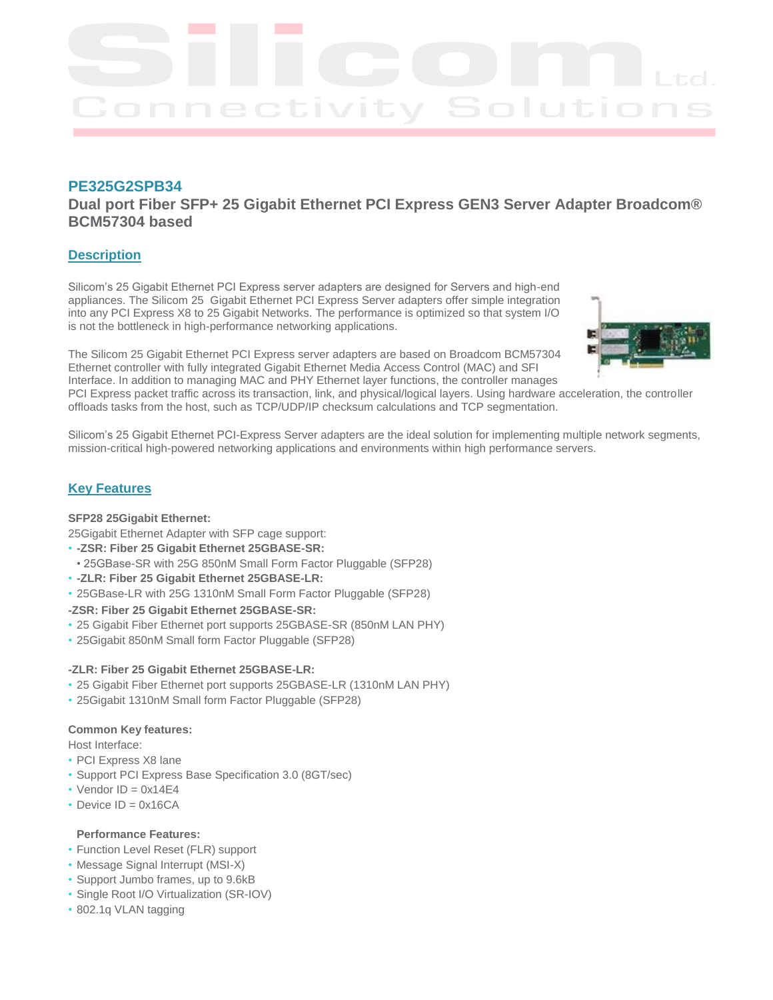

# **PE325G2SPB34**

**Dual port Fiber SFP+ 25 Gigabit Ethernet PCI Express GEN3 Server Adapter Broadcom® BCM57304 based**

## **Description**

Silicom's 25 Gigabit Ethernet PCI Express server adapters are designed for Servers and high-end appliances. The Silicom 25 Gigabit Ethernet PCI Express Server adapters offer simple integration into any PCI Express X8 to 25 Gigabit Networks. The performance is optimized so that system I/O is not the bottleneck in high-performance networking applications.

The Silicom 25 Gigabit Ethernet PCI Express server adapters are based on Broadcom BCM57304 Ethernet controller with fully integrated Gigabit Ethernet Media Access Control (MAC) and SFI Interface. In addition to managing MAC and PHY Ethernet layer functions, the controller manages



PCI Express packet traffic across its transaction, link, and physical/logical layers. Using hardware acceleration, the controller offloads tasks from the host, such as TCP/UDP/IP checksum calculations and TCP segmentation.

Silicom's 25 Gigabit Ethernet PCI-Express Server adapters are the ideal solution for implementing multiple network segments, mission-critical high-powered networking applications and environments within high performance servers.

### **Key Features**

#### **SFP28 25Gigabit Ethernet:**

25Gigabit Ethernet Adapter with SFP cage support:

- **-ZSR: Fiber 25 Gigabit Ethernet 25GBASE-SR:**
- 25GBase-SR with 25G 850nM Small Form Factor Pluggable (SFP28)
- **-ZLR: Fiber 25 Gigabit Ethernet 25GBASE-LR:**
- 25GBase-LR with 25G 1310nM Small Form Factor Pluggable (SFP28)

#### **-ZSR: Fiber 25 Gigabit Ethernet 25GBASE-SR:**

- 25 Gigabit Fiber Ethernet port supports 25GBASE-SR (850nM LAN PHY)
- 25Gigabit 850nM Small form Factor Pluggable (SFP28)

#### **-ZLR: Fiber 25 Gigabit Ethernet 25GBASE-LR:**

- 25 Gigabit Fiber Ethernet port supports 25GBASE-LR (1310nM LAN PHY)
- 25Gigabit 1310nM Small form Factor Pluggable (SFP28)

#### **Common Key features:**

Host Interface:

- PCI Express X8 lane
- Support PCI Express Base Specification 3.0 (8GT/sec)
- $\cdot$  Vendor ID = 0x14E4
- $\cdot$  Device ID = 0x16CA

### **Performance Features:**

- Function Level Reset (FLR) support
- Message Signal Interrupt (MSI-X)
- Support Jumbo frames, up to 9.6kB
- Single Root I/O Virtualization (SR-IOV)
- 802.1q VLAN tagging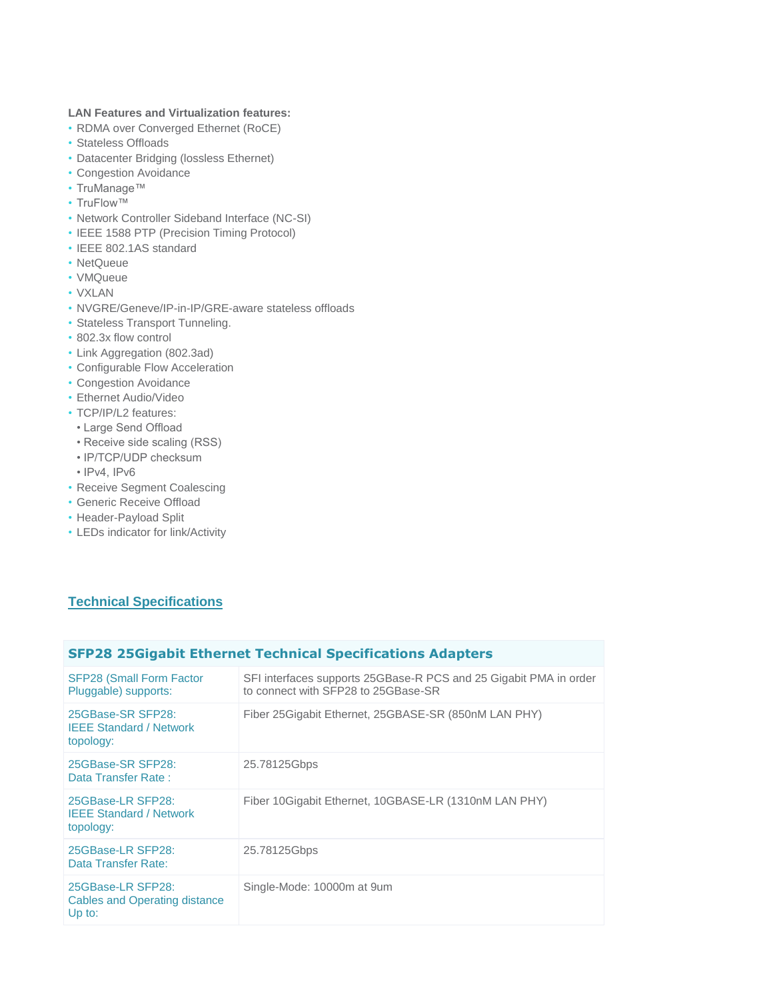### **LAN Features and Virtualization features:**

- RDMA over Converged Ethernet (RoCE)
- Stateless Offloads
- Datacenter Bridging (lossless Ethernet)
- Congestion Avoidance
- TruManage™
- TruFlow™
- Network Controller Sideband Interface (NC-SI)
- IEEE 1588 PTP (Precision Timing Protocol)
- IEEE 802.1AS standard
- NetQueue
- VMQueue
- VXLAN
- NVGRE/Geneve/IP-in-IP/GRE-aware stateless offloads
- Stateless Transport Tunneling.
- 802.3x flow control
- Link Aggregation (802.3ad)
- Configurable Flow Acceleration
- Congestion Avoidance
- Ethernet Audio/Video
- TCP/IP/L2 features:
- Large Send Offload
- Receive side scaling (RSS)
- IP/TCP/UDP checksum
- IPv4, IPv6
- Receive Segment Coalescing
- Generic Receive Offload
- Header-Payload Split
- LEDs indicator for link/Activity

# **Technical Specifications**

# **SFP28 25Gigabit Ethernet Technical Specifications Adapters**

| <b>SFP28 (Small Form Factor)</b><br>Pluggable) supports:            | SFI interfaces supports 25GBase-R PCS and 25 Gigabit PMA in order<br>to connect with SFP28 to 25GBase-SR |
|---------------------------------------------------------------------|----------------------------------------------------------------------------------------------------------|
| 25GBase-SR SFP28:<br><b>IEEE Standard / Network</b><br>topology:    | Fiber 25 Gigabit Ethernet, 25 GBASE-SR (850 nM LAN PHY)                                                  |
| 25GBase-SR SFP28:<br>Data Transfer Rate:                            | 25.78125Gbps                                                                                             |
| 25GBase-LR SFP28:<br><b>IEEE Standard / Network</b><br>topology:    | Fiber 10 Gigabit Ethernet, 10 GBASE-LR (1310 nM LAN PHY)                                                 |
| 25GBase-LR SFP28:<br>Data Transfer Rate:                            | 25.78125Gbps                                                                                             |
| 25GBase-LR SFP28:<br><b>Cables and Operating distance</b><br>Up to: | Single-Mode: 10000m at 9um                                                                               |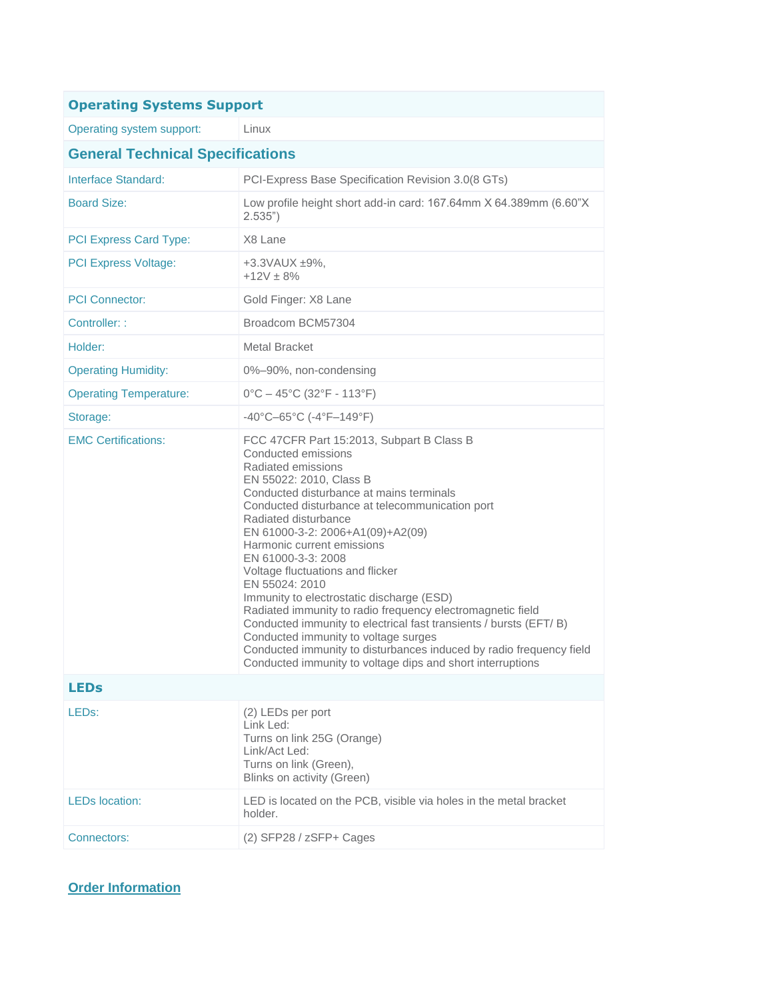| <b>Operating Systems Support</b>        |                                                                                                                                                                                                                                                                                                                                                                                                                                                                                                                                                                                                                                                                                                                                                     |  |  |
|-----------------------------------------|-----------------------------------------------------------------------------------------------------------------------------------------------------------------------------------------------------------------------------------------------------------------------------------------------------------------------------------------------------------------------------------------------------------------------------------------------------------------------------------------------------------------------------------------------------------------------------------------------------------------------------------------------------------------------------------------------------------------------------------------------------|--|--|
| Operating system support:               | Linux                                                                                                                                                                                                                                                                                                                                                                                                                                                                                                                                                                                                                                                                                                                                               |  |  |
| <b>General Technical Specifications</b> |                                                                                                                                                                                                                                                                                                                                                                                                                                                                                                                                                                                                                                                                                                                                                     |  |  |
| Interface Standard:                     | PCI-Express Base Specification Revision 3.0(8 GTs)                                                                                                                                                                                                                                                                                                                                                                                                                                                                                                                                                                                                                                                                                                  |  |  |
| <b>Board Size:</b>                      | Low profile height short add-in card: 167.64mm X 64.389mm (6.60"X<br>2.535")                                                                                                                                                                                                                                                                                                                                                                                                                                                                                                                                                                                                                                                                        |  |  |
| PCI Express Card Type:                  | X8 Lane                                                                                                                                                                                                                                                                                                                                                                                                                                                                                                                                                                                                                                                                                                                                             |  |  |
| <b>PCI Express Voltage:</b>             | +3.3VAUX ±9%,<br>$+12V + 8%$                                                                                                                                                                                                                                                                                                                                                                                                                                                                                                                                                                                                                                                                                                                        |  |  |
| <b>PCI Connector:</b>                   | Gold Finger: X8 Lane                                                                                                                                                                                                                                                                                                                                                                                                                                                                                                                                                                                                                                                                                                                                |  |  |
| Controller: :                           | Broadcom BCM57304                                                                                                                                                                                                                                                                                                                                                                                                                                                                                                                                                                                                                                                                                                                                   |  |  |
| Holder:                                 | Metal Bracket                                                                                                                                                                                                                                                                                                                                                                                                                                                                                                                                                                                                                                                                                                                                       |  |  |
| <b>Operating Humidity:</b>              | 0%-90%, non-condensing                                                                                                                                                                                                                                                                                                                                                                                                                                                                                                                                                                                                                                                                                                                              |  |  |
| <b>Operating Temperature:</b>           | $0^{\circ}$ C - 45 $^{\circ}$ C (32 $^{\circ}$ F - 113 $^{\circ}$ F)                                                                                                                                                                                                                                                                                                                                                                                                                                                                                                                                                                                                                                                                                |  |  |
| Storage:                                | $-40^{\circ}$ C $-65^{\circ}$ C (-4 $^{\circ}$ F $-149^{\circ}$ F)                                                                                                                                                                                                                                                                                                                                                                                                                                                                                                                                                                                                                                                                                  |  |  |
| <b>EMC Certifications:</b>              | FCC 47CFR Part 15:2013, Subpart B Class B<br>Conducted emissions<br>Radiated emissions<br>EN 55022: 2010, Class B<br>Conducted disturbance at mains terminals<br>Conducted disturbance at telecommunication port<br>Radiated disturbance<br>EN 61000-3-2: 2006+A1(09)+A2(09)<br>Harmonic current emissions<br>EN 61000-3-3: 2008<br>Voltage fluctuations and flicker<br>EN 55024: 2010<br>Immunity to electrostatic discharge (ESD)<br>Radiated immunity to radio frequency electromagnetic field<br>Conducted immunity to electrical fast transients / bursts (EFT/B)<br>Conducted immunity to voltage surges<br>Conducted immunity to disturbances induced by radio frequency field<br>Conducted immunity to voltage dips and short interruptions |  |  |
| <b>LEDs</b>                             |                                                                                                                                                                                                                                                                                                                                                                                                                                                                                                                                                                                                                                                                                                                                                     |  |  |
| LED <sub>s</sub> :                      | (2) LEDs per port<br>Link Led:<br>Turns on link 25G (Orange)<br>Link/Act Led:<br>Turns on link (Green),<br>Blinks on activity (Green)                                                                                                                                                                                                                                                                                                                                                                                                                                                                                                                                                                                                               |  |  |
| <b>LEDs location:</b>                   | LED is located on the PCB, visible via holes in the metal bracket<br>holder.                                                                                                                                                                                                                                                                                                                                                                                                                                                                                                                                                                                                                                                                        |  |  |
| Connectors:                             | (2) SFP28 / zSFP+ Cages                                                                                                                                                                                                                                                                                                                                                                                                                                                                                                                                                                                                                                                                                                                             |  |  |

**Order Information**